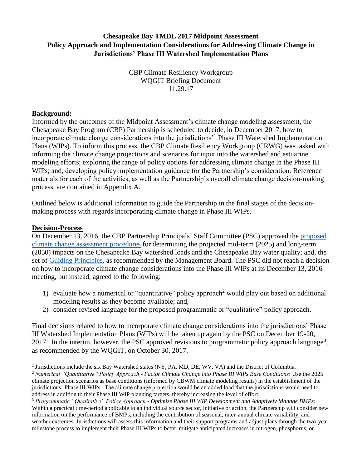# **Chesapeake Bay TMDL 2017 Midpoint Assessment Policy Approach and Implementation Considerations for Addressing Climate Change in Jurisdictions' Phase III Watershed Implementation Plans**

CBP Climate Resiliency Workgroup WQGIT Briefing Document 11.29.17

#### **Background:**

Informed by the outcomes of the Midpoint Assessment's climate change modeling assessment, the Chesapeake Bay Program (CBP) Partnership is scheduled to decide, in December 2017, how to incorporate climate change considerations into the jurisdictions'<sup>1</sup> Phase III Watershed Implementation Plans (WIPs). To inform this process, the CBP Climate Resiliency Workgroup (CRWG) was tasked with informing the climate change projections and scenarios for input into the watershed and estuarine modeling efforts; exploring the range of policy options for addressing climate change in the Phase III WIPs; and, developing policy implementation guidance for the Partnership's consideration. Reference materials for each of the activities, as well as the Partnership's overall climate change decision-making process, are contained in Appendix A.

Outlined below is additional information to guide the Partnership in the final stages of the decisionmaking process with regards incorporating climate change in Phase III WIPs.

#### **Decision-Process**

 $\overline{a}$ 

On December 13, 2016, the CBP Partnership Principals' Staff Committee (PSC) approved the [proposed](http://www.chesapeakebay.net/channel_files/24456/ii.g._briefing_paper_describing_cc_modeling_approach_dec_13_psc_mtg.pdf)  [climate change assessment procedures](http://www.chesapeakebay.net/channel_files/24456/ii.g._briefing_paper_describing_cc_modeling_approach_dec_13_psc_mtg.pdf) for determining the projected mid-term (2025) and long-term (2050) impacts on the Chesapeake Bay watershed loads and the Chesapeake Bay water quality; and, the set of [Guiding Principles,](https://www.chesapeakebay.net/channel_files/24456/ii.f._climate_options_for_phase_iii_wips_crwg_briefing_document_12.13.16.pdf) as recommended by the Management Board. The PSC did not reach a decision on how to incorporate climate change considerations into the Phase III WIPs at its December 13, 2016 meeting, but instead, agreed to the following:

- 1) evaluate how a numerical or "quantitative" policy approach<sup>2</sup> would play out based on additional modeling results as they become available; and,
- 2) consider revised language for the proposed programmatic or "qualitative" policy approach.

Final decisions related to how to incorporate climate change considerations into the jurisdictions' Phase III Watershed Implementation Plans (WIPs) will be taken up again by the PSC on December 19-20, 2017. In the interim, however, the PSC approved revisions to programmatic policy approach language<sup>3</sup>, as recommended by the WQGIT, on October 30, 2017.

<sup>&</sup>lt;sup>1</sup> Jurisdictions include the six Bay Watershed states (NY, PA, MD, DE, WV, VA) and the District of Columbia.

<sup>2</sup> *Numerical "Quantitative" Policy Approach - Factor Climate Change into Phase III WIPs Base Conditions*: Use the 2025 climate projection scenarios as base conditions (informed by CBWM climate modeling results) in the establishment of the jurisdictions' Phase III WIPs. The climate change projection would be an added load that the jurisdictions would need to address in addition to their Phase III WIP planning targets, thereby increasing the level of effort.

<sup>3</sup> *Programmatic "Qualitative" Policy Approach - Optimize Phase III WIP Development and Adaptively Manage BMPs:*  Within a practical time-period applicable to an individual source sector, initiative or action, the Partnership will consider new information on the performance of BMPs, including the contribution of seasonal, inter-annual climate variability, and weather extremes. Jurisdictions will assess this information and their support programs and adjust plans through the two-year milestone process to implement their Phase III WIPs to better mitigate anticipated increases in nitrogen, phosphorus, or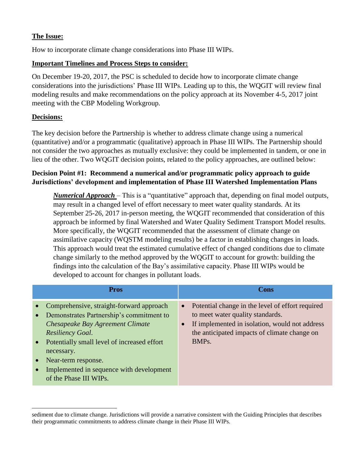## **The Issue:**

How to incorporate climate change considerations into Phase III WIPs.

# **Important Timelines and Process Steps to consider:**

On December 19-20, 2017, the PSC is scheduled to decide how to incorporate climate change considerations into the jurisdictions' Phase III WIPs. Leading up to this, the WQGIT will review final modeling results and make recommendations on the policy approach at its November 4-5, 2017 joint meeting with the CBP Modeling Workgroup.

# **Decisions:**

The key decision before the Partnership is whether to address climate change using a numerical (quantitative) and/or a programmatic (qualitative) approach in Phase III WIPs. The Partnership should not consider the two approaches as mutually exclusive: they could be implemented in tandem, or one in lieu of the other. Two WQGIT decision points, related to the policy approaches, are outlined below:

# **Decision Point #1: Recommend a numerical and/or programmatic policy approach to guide Jurisdictions' development and implementation of Phase III Watershed Implementation Plans**

*Numerical Approach* – This is a "quantitative" approach that, depending on final model outputs, may result in a changed level of effort necessary to meet water quality standards. At its September 25-26, 2017 in-person meeting, the WQGIT recommended that consideration of this approach be informed by final Watershed and Water Quality Sediment Transport Model results. More specifically, the WQGIT recommended that the assessment of climate change on assimilative capacity (WQSTM modeling results) be a factor in establishing changes in loads. This approach would treat the estimated cumulative effect of changed conditions due to climate change similarly to the method approved by the WQGIT to account for growth: building the findings into the calculation of the Bay's assimilative capacity. Phase III WIPs would be developed to account for changes in pollutant loads.

| <b>Pros</b>                                                                                                                                                                                                                                                                                                                             | Cons                                                                                                                                                                                                           |
|-----------------------------------------------------------------------------------------------------------------------------------------------------------------------------------------------------------------------------------------------------------------------------------------------------------------------------------------|----------------------------------------------------------------------------------------------------------------------------------------------------------------------------------------------------------------|
| Comprehensive, straight-forward approach<br>Demonstrates Partnership's commitment to<br>$\bullet$<br>Chesapeake Bay Agreement Climate<br><b>Resiliency Goal.</b><br>Potentially small level of increased effort<br>$\bullet$<br>necessary.<br>Near-term response.<br>Implemented in sequence with development<br>of the Phase III WIPs. | • Potential change in the level of effort required<br>to meet water quality standards.<br>If implemented in isolation, would not address<br>the anticipated impacts of climate change on<br>BMP <sub>s</sub> . |

 $\overline{\phantom{a}}$ sediment due to climate change. Jurisdictions will provide a narrative consistent with the Guiding Principles that describes their programmatic commitments to address climate change in their Phase III WIPs.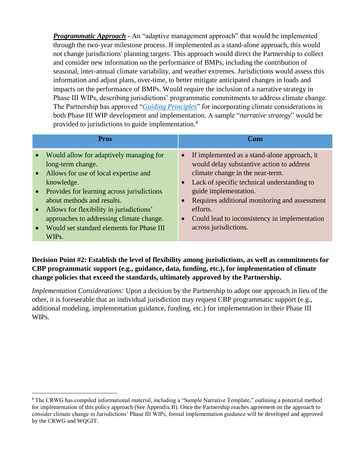*Programmatic Approach* - An "adaptive management approach" that would be implemented through the two-year milestone process. If implemented as a stand-alone approach, this would not change jurisdictions' planning targets. This approach would direct the Partnership to collect and consider new information on the performance of BMPs, including the contribution of seasonal, inter-annual climate variability, and weather extremes. Jurisdictions would assess this information and adjust plans, over-time, to better mitigate anticipated changes in loads and impacts on the performance of BMPs. Would require the inclusion of a narrative strategy in Phase III WIPs, describing jurisdictions' programmatic commitments to address climate change. The Partnership has approved "*[Guiding Principles](https://www.chesapeakebay.net/channel_files/24456/ii.f._climate_options_for_phase_iii_wips_crwg_briefing_document_12.13.16.pdf)*" for incorporating climate considerations in both Phase III WIP development and implementation. A sample "*narrative strategy*" would be provided to jurisdictions to guide implementation. 4

| <b>Pros</b>                                                                                                                                                                                                                                                                                                                                                        | Cons                                                                                                                                                                                                                                                                                                                                                                                  |
|--------------------------------------------------------------------------------------------------------------------------------------------------------------------------------------------------------------------------------------------------------------------------------------------------------------------------------------------------------------------|---------------------------------------------------------------------------------------------------------------------------------------------------------------------------------------------------------------------------------------------------------------------------------------------------------------------------------------------------------------------------------------|
| • Would allow for adaptively managing for<br>long-term change.<br>• Allows for use of local expertise and<br>knowledge.<br>Provides for learning across jurisdictions<br>$\bullet$<br>about methods and results.<br>Allows for flexibility in jurisdictions'<br>$\bullet$<br>approaches to addressing climate change.<br>Would set standard elements for Phase III | If implemented as a stand-alone approach, it<br>$\bullet$<br>would delay substantive action to address<br>climate change in the near-term.<br>• Lack of specific technical understanding to<br>guide implementation.<br>Requires additional monitoring and assessment<br>$\bullet$<br>efforts.<br>Could lead to inconsistency in implementation<br>$\bullet$<br>across jurisdictions. |
| WIPs.                                                                                                                                                                                                                                                                                                                                                              |                                                                                                                                                                                                                                                                                                                                                                                       |

# **Decision Point #2: Establish the level of flexibility among jurisdictions, as well as commitments for CBP programmatic support (e.g., guidance, data, funding, etc.), for implementation of climate change policies that exceed the standards, ultimately approved by the Partnership.**

*Implementation Considerations:* Upon a decision by the Partnership to adopt one approach in lieu of the other, it is foreseeable that an individual jurisdiction may request CBP programmatic support (e.g., additional modeling, implementation guidance, funding, etc.) for implementation in their Phase III WIPs.

 $\overline{\phantom{a}}$ 

<sup>4</sup> The CRWG has compiled informational material, including a "Sample Narrative Template," outlining a potential method for implementation of this policy approach (See Appendix B). Once the Partnership reaches agreement on the approach to consider climate change in Jurisdictions' Phase III WIPs, formal implementation guidance will be developed and approved by the CRWG and WQGIT.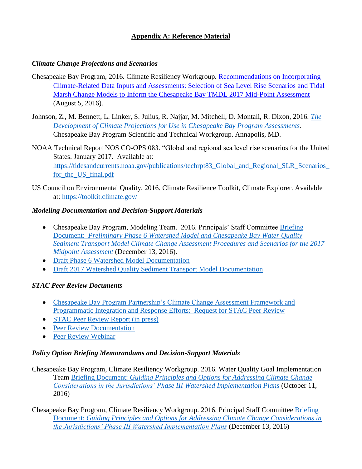# **Appendix A: Reference Material**

#### *Climate Change Projections and Scenarios*

- Chesapeake Bay Program, 2016. Climate Resiliency Workgroup. [Recommendations on Incorporating](http://www.chesapeakebay.net/channel_files/24216/crwg_mid_point_assessment_climate_data_recommendations_final_080516.pdf)  [Climate-Related Data Inputs and Assessments: Selection of Sea Level Rise Scenarios and Tidal](http://www.chesapeakebay.net/channel_files/24216/crwg_mid_point_assessment_climate_data_recommendations_final_080516.pdf)  [Marsh Change Models to Inform the Chesapeake Bay TMDL 2017 Mid-Point Assessment](http://www.chesapeakebay.net/channel_files/24216/crwg_mid_point_assessment_climate_data_recommendations_final_080516.pdf) (August 5, 2016).
- Johnson, Z., M. Bennett, L. Linker, S. Julius, R. Najjar, M. Mitchell, D. Montali, R. Dixon, 2016. *[The](http://www.chesapeake.org/stac/workshop.php?activity_id=258)  [Development of Climate Projections for Use in Chesapeake Bay Program Assessments](http://www.chesapeake.org/stac/workshop.php?activity_id=258)*. Chesapeake Bay Program Scientific and Technical Workgroup. Annapolis, MD.
- NOAA Technical Report NOS CO-OPS 083. "Global and regional sea level rise scenarios for the United States. January 2017. Available at: https://tidesandcurrents.noaa.gov/publications/techrpt83 Global and Regional SLR Scenarios for the US final.pdf
- US Council on Environmental Quality. 2016. Climate Resilience Toolkit, Climate Explorer. Available at:<https://toolkit.climate.gov/>

#### *Modeling Documentation and Decision-Support Materials*

- Chesapeake Bay Program, Modeling Team. 2016. Principals' Staff Committee Briefing Document: *[Preliminary Phase 6 Watershed Model and Chesapeake Bay Water Quality](https://www.chesapeakebay.net/channel_files/24456/ii.g._briefing_paper_describing_cc_modeling_approach_dec_13_psc_mtg.pdf)  [Sediment Transport Model Climate Change Assessment Procedures and Scenarios for the 2017](https://www.chesapeakebay.net/channel_files/24456/ii.g._briefing_paper_describing_cc_modeling_approach_dec_13_psc_mtg.pdf)  [Midpoint Assessment](https://www.chesapeakebay.net/channel_files/24456/ii.g._briefing_paper_describing_cc_modeling_approach_dec_13_psc_mtg.pdf)* (December 13, 2016).
- [Draft Phase 6 Watershed Model Documentation](ftp://ftp.chesapeakebay.net/modeling/Phase6/Draft_Phase_6/Documentation/)
- [Draft 2017 Watershed Quality Sediment Transport Model Documentation](https://www.chesapeakebay.net/channel_files/25275/2017_wqstm_documentation_draft_5-10-17.pdf)

## *STAC Peer Review Documents*

- [Chesapeake Bay Program Partnership's Climate Change Assessment Framework and](https://www.chesapeakebay.net/channel_files/25098/cbp_cc_assessment_framework_peer_review_questions.pdf)  [Programmatic Integration and Response Efforts: Request for STAC Peer Review](https://www.chesapeakebay.net/channel_files/25098/cbp_cc_assessment_framework_peer_review_questions.pdf)
- [STAC Peer Review Report \(in press\)](http://www.chesapeake.org/stac/stac_rev.php)
- [Peer Review Documentation](http://www.chesapeake.org/stac/presentations/279_CCAF_STACPeerReviewDocumentation_Draft_063017.pdf)
- Peer Review Webinar

## *Policy Option Briefing Memorandums and Decision-Support Materials*

Chesapeake Bay Program, Climate Resiliency Workgroup. 2016. Water Quality Goal Implementation Team Briefing Document: *[Guiding Principles and Options for Addressing Climate Change](https://www.chesapeakebay.net/channel_files/23844/attach_g.1_climate_options_for_phase_iii_wips_crwg_briefing_document.pdf)  [Considerations in the Jurisdictions' Phase III Watershed Implementation Plans](https://www.chesapeakebay.net/channel_files/23844/attach_g.1_climate_options_for_phase_iii_wips_crwg_briefing_document.pdf)* (October 11, 2016)

Chesapeake Bay Program, Climate Resiliency Workgroup. 2016. Principal Staff Committee [Briefing](http://www.chesapeakebay.net/channel_files/24456/ii.f._climate_options_for_phase_iii_wips_crwg_briefing_document_12.13.16.pdf)  Document: *[Guiding Principles and Options for Addressing Climate Change Considerations in](http://www.chesapeakebay.net/channel_files/24456/ii.f._climate_options_for_phase_iii_wips_crwg_briefing_document_12.13.16.pdf)  [the Jurisdictions' Phase III Watershed Implementation Plans](http://www.chesapeakebay.net/channel_files/24456/ii.f._climate_options_for_phase_iii_wips_crwg_briefing_document_12.13.16.pdf)* (December 13, 2016)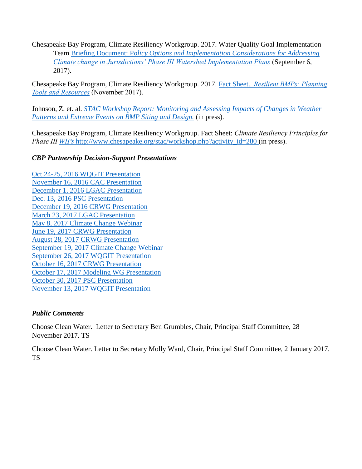Chesapeake Bay Program, Climate Resiliency Workgroup. 2017. Water Quality Goal Implementation Team Briefing Document: P*[olicy Options and Implementation Considerations](https://www.chesapeakebay.net/channel_files/25453/mpa_climate_change_policy_option_briefing_memo_wqgit_090617.pdf) for Addressing [Climate change in Jurisdictions' Phase III Watershed Implementation Plans](https://www.chesapeakebay.net/channel_files/25453/mpa_climate_change_policy_option_briefing_memo_wqgit_090617.pdf)* (September 6, 2017).

Chesapeake Bay Program, Climate Resiliency Workgroup. 2017. Fact Sheet. *[Resilient BMPs: Planning](https://www.chesapeakebay.net/channel_files/24441/resilient_bmp_tools_and_resources_november_2017_2.pdf)  [Tools and Resources](https://www.chesapeakebay.net/channel_files/24441/resilient_bmp_tools_and_resources_november_2017_2.pdf)* (November 2017).

Johnson, Z. et. al. *[STAC Workshop Report: Monitoring and Assessing Impacts of Changes in Weather](http://www.chesapeake.org/stac/workshop.php?activity_id=280)  [Patterns and Extreme Events on BMP Siting and Design.](http://www.chesapeake.org/stac/workshop.php?activity_id=280)* (in press).

Chesapeake Bay Program, Climate Resiliency Workgroup. Fact Sheet: *Climate Resiliency Principles for Phase III WIPs* [http://www.chesapeake.org/stac/workshop.php?activity\\_id=280](https://www.chesapeakebay.net/channel_files/25100/climate_resiliency_phase_iii_wip_fact_sheet_draft_100517.pdf) (in press).

# *CBP Partnership Decision-Support Presentations*

[Oct 24-25, 2016 WQGIT](https://www.chesapeakebay.net/what/event/water_quality_goal_implementation_team_meeting_october_24_2016) Presentation [November 16, 2016 CAC Presentation](https://www.chesapeakebay.net/channel_files/23299/cac_climate_change_presentation_111616_v1.pptx) [December 1, 2016 LGAC Presentation](https://www.chesapeakebay.net/channel_files/23478/lgac_climate_change_presentation_zpj_120116.pptx) [Dec. 13, 2016 PSC Presentation](https://www.chesapeakebay.net/what/event/principals_staff_committee_meeting_december_2016) [December 19, 2016 CRWG Presentation](https://www.chesapeakebay.net/what/event/december_2016_climate_resiliency_workgroup_conference_call) [March 23, 2017 LGAC Presentation](https://www.chesapeakebay.net/channel_files/24384/lgac_climate_change_presentation_zpj_032317.pptx) [May 8, 2017 Climate Change](https://www.chesapeakebay.net/what/event/water_quality_goal_team_conference_call_may_8th_2017) Webinar [June 19, 2017 CRWG Presentation](https://www.chesapeakebay.net/what/event/climate_resiliency_workgroup_in_person_meeting_june_2017) [August 28, 2017 CRWG Presentation](https://www.chesapeakebay.net/channel_files/25098/mpa_climate_component_decision-making_timeline.pdf) [September 19, 2017 Climate Change W](https://www.chesapeakebay.net/what/event/webinar_results_of_climate_change_analysis)ebinar [September 26, 2017 WQGIT Presentation](https://www.chesapeakebay.net/what/event/water_quality_goal_team_annual_face_to_face_meeting) [October 16, 2017 CRWG Presentation](https://www.chesapeakebay.net/what/event/climate_resiliency_workgroup_conference_call_oct_2017) October 17, [2017 Modeling WG Presentation](https://www.chesapeakebay.net/what/event/october_2017_modeling_wg_quarterly_meeting) [October 30, 2017 PSC Presentation](https://www.chesapeakebay.net/what/event/principals_staff_committee_meeting_october_2017_day_one) [November 13, 2017 WQGIT Presentation](https://www.chesapeakebay.net/what/event/water_quality_goal_team_november_13_conference_callhttps:/www.chesapeakebay.net/what/event/water_quality_goal_team_november_13_conference_call)

## *Public Comments*

Choose Clean Water. Letter to Secretary Ben Grumbles, Chair, Principal Staff Committee, 28 November 2017. TS

Choose Clean Water. Letter to Secretary Molly Ward, Chair, Principal Staff Committee, 2 January 2017. TS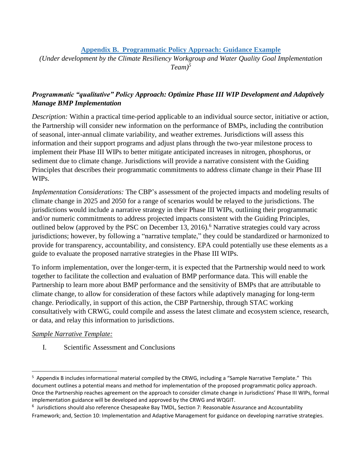**Appendix B. Programmatic Policy Approach: Guidance Example**

*(Under development by the Climate Resiliency Workgroup and Water Quality Goal Implementation Team)<sup>5</sup>*

# *Programmatic "qualitative" Policy Approach: Optimize Phase III WIP Development and Adaptively Manage BMP Implementation*

*Description:* Within a practical time-period applicable to an individual source sector, initiative or action, the Partnership will consider new information on the performance of BMPs, including the contribution of seasonal, inter-annual climate variability, and weather extremes. Jurisdictions will assess this information and their support programs and adjust plans through the two-year milestone process to implement their Phase III WIPs to better mitigate anticipated increases in nitrogen, phosphorus, or sediment due to climate change. Jurisdictions will provide a narrative consistent with the Guiding Principles that describes their programmatic commitments to address climate change in their Phase III WIPs.

*Implementation Considerations:* The CBP's assessment of the projected impacts and modeling results of climate change in 2025 and 2050 for a range of scenarios would be relayed to the jurisdictions. The jurisdictions would include a narrative strategy in their Phase III WIPs, outlining their programmatic and/or numeric commitments to address projected impacts consistent with the Guiding Principles, outlined below (approved by the PSC on December 13, 2016). <sup>6</sup> Narrative strategies could vary across jurisdictions; however, by following a "narrative template," they could be standardized or harmonized to provide for transparency, accountability, and consistency. EPA could potentially use these elements as a guide to evaluate the proposed narrative strategies in the Phase III WIPs.

To inform implementation, over the longer-term, it is expected that the Partnership would need to work together to facilitate the collection and evaluation of BMP performance data. This will enable the Partnership to learn more about BMP performance and the sensitivity of BMPs that are attributable to climate change, to allow for consideration of these factors while adaptively managing for long-term change. Periodically, in support of this action, the CBP Partnership, through STAC working consultatively with CRWG, could compile and assess the latest climate and ecosystem science, research, or data, and relay this information to jurisdictions.

## *Sample Narrative Template:*

 $\overline{\phantom{a}}$ 

I. Scientific Assessment and Conclusions

<sup>&</sup>lt;sup>5</sup> Appendix B includes informational material compiled by the CRWG, including a "Sample Narrative Template." This document outlines a potential means and method for implementation of the proposed programmatic policy approach. Once the Partnership reaches agreement on the approach to consider climate change in Jurisdictions' Phase III WIPs, formal implementation guidance will be developed and approved by the CRWG and WQGIT.

<sup>&</sup>lt;sup>6</sup> Jurisdictions should also reference Chesapeake Bay TMDL, Section 7: Reasonable Assurance and Accountability Framework; and, Section 10: Implementation and Adaptive Management for guidance on developing narrative strategies.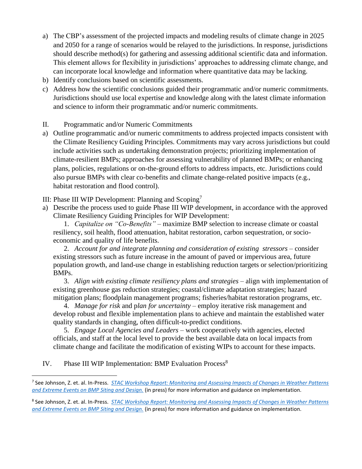- a) The CBP's assessment of the projected impacts and modeling results of climate change in 2025 and 2050 for a range of scenarios would be relayed to the jurisdictions. In response, jurisdictions should describe method(s) for gathering and assessing additional scientific data and information. This element allows for flexibility in jurisdictions' approaches to addressing climate change, and can incorporate local knowledge and information where quantitative data may be lacking.
- b) Identify conclusions based on scientific assessments.
- c) Address how the scientific conclusions guided their programmatic and/or numeric commitments. Jurisdictions should use local expertise and knowledge along with the latest climate information and science to inform their programmatic and/or numeric commitments.
- II. Programmatic and/or Numeric Commitments
- a) Outline programmatic and/or numeric commitments to address projected impacts consistent with the Climate Resiliency Guiding Principles. Commitments may vary across jurisdictions but could include activities such as undertaking demonstration projects; prioritizing implementation of climate-resilient BMPs; approaches for assessing vulnerability of planned BMPs; or enhancing plans, policies, regulations or on-the-ground efforts to address impacts, etc. Jurisdictions could also pursue BMPs with clear co-benefits and climate change-related positive impacts (e.g., habitat restoration and flood control).
- III: Phase III WIP Development: Planning and Scoping<sup>7</sup>
- a) Describe the process used to guide Phase III WIP development, in accordance with the approved Climate Resiliency Guiding Principles for WIP Development:

1. *Capitalize on "Co-Benefits"* – maximize BMP selection to increase climate or coastal resiliency, soil health, flood attenuation, habitat restoration, carbon sequestration, or socioeconomic and quality of life benefits.

2. *Account for and integrate planning and consideration of existing stressors* – consider existing stressors such as future increase in the amount of paved or impervious area, future population growth, and land-use change in establishing reduction targets or selection/prioritizing BMPs.

3. *Align with existing climate resiliency plans and strategies* – align with implementation of existing greenhouse gas reduction strategies; coastal/climate adaptation strategies; hazard mitigation plans; floodplain management programs; fisheries/habitat restoration programs, etc.

4. *Manage for risk* and p*lan for uncertainty* – employ iterative risk management and develop robust and flexible implementation plans to achieve and maintain the established water quality standards in changing, often difficult-to-predict conditions.

5. *Engage Local Agencies and Leaders* – work cooperatively with agencies, elected officials, and staff at the local level to provide the best available data on local impacts from climate change and facilitate the modification of existing WIPs to account for these impacts.

IV. Phase III WIP Implementation: BMP Evaluation Process<sup>8</sup>

 $\overline{\phantom{a}}$ 7 See Johnson, Z. et. al. In-Press. *[STAC Workshop Report: Monitoring and Assessing Impacts of Changes in Weather Patterns](http://www.chesapeake.org/stac/workshop.php?activity_id=280)  [and Extreme Events on BMP Siting and Design.](http://www.chesapeake.org/stac/workshop.php?activity_id=280)* (in press) for more information and guidance on implementation.

<sup>8</sup> See Johnson, Z. et. al. In-Press. *[STAC Workshop Report: Monitoring and Assessing Impacts of Changes in Weather Patterns](http://www.chesapeake.org/stac/workshop.php?activity_id=280)  [and Extreme Events on BMP Siting and Design.](http://www.chesapeake.org/stac/workshop.php?activity_id=280)* (in press) for more information and guidance on implementation.